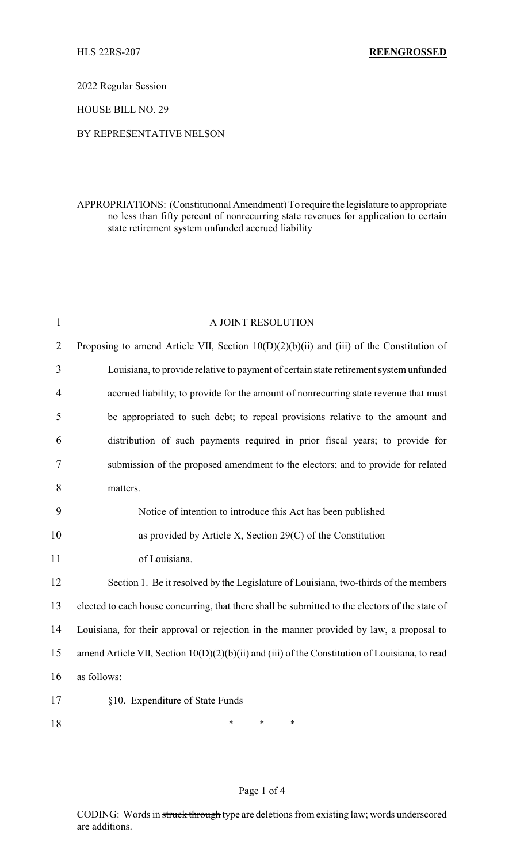2022 Regular Session

HOUSE BILL NO. 29

## BY REPRESENTATIVE NELSON

## APPROPRIATIONS: (Constitutional Amendment) To require the legislature to appropriate no less than fifty percent of nonrecurring state revenues for application to certain state retirement system unfunded accrued liability

| $\mathbf{1}$   | A JOINT RESOLUTION                                                                              |  |  |
|----------------|-------------------------------------------------------------------------------------------------|--|--|
| $\overline{2}$ | Proposing to amend Article VII, Section $10(D)(2)(b)(ii)$ and (iii) of the Constitution of      |  |  |
| 3              | Louisiana, to provide relative to payment of certain state retirement system unfunded           |  |  |
| 4              | accrued liability; to provide for the amount of nonrecurring state revenue that must            |  |  |
| 5              | be appropriated to such debt; to repeal provisions relative to the amount and                   |  |  |
| 6              | distribution of such payments required in prior fiscal years; to provide for                    |  |  |
| 7              | submission of the proposed amendment to the electors; and to provide for related                |  |  |
| 8              | matters.                                                                                        |  |  |
| 9              | Notice of intention to introduce this Act has been published                                    |  |  |
| 10             | as provided by Article X, Section $29(C)$ of the Constitution                                   |  |  |
| 11             | of Louisiana.                                                                                   |  |  |
| 12             | Section 1. Be it resolved by the Legislature of Louisiana, two-thirds of the members            |  |  |
| 13             | elected to each house concurring, that there shall be submitted to the electors of the state of |  |  |
| 14             | Louisiana, for their approval or rejection in the manner provided by law, a proposal to         |  |  |
| 15             | amend Article VII, Section 10(D)(2)(b)(ii) and (iii) of the Constitution of Louisiana, to read  |  |  |
| 16             | as follows:                                                                                     |  |  |
| 17             | §10. Expenditure of State Funds                                                                 |  |  |
| 18             | $\ast$<br>$\ast$<br>$\ast$                                                                      |  |  |

## Page 1 of 4

CODING: Words in struck through type are deletions from existing law; words underscored are additions.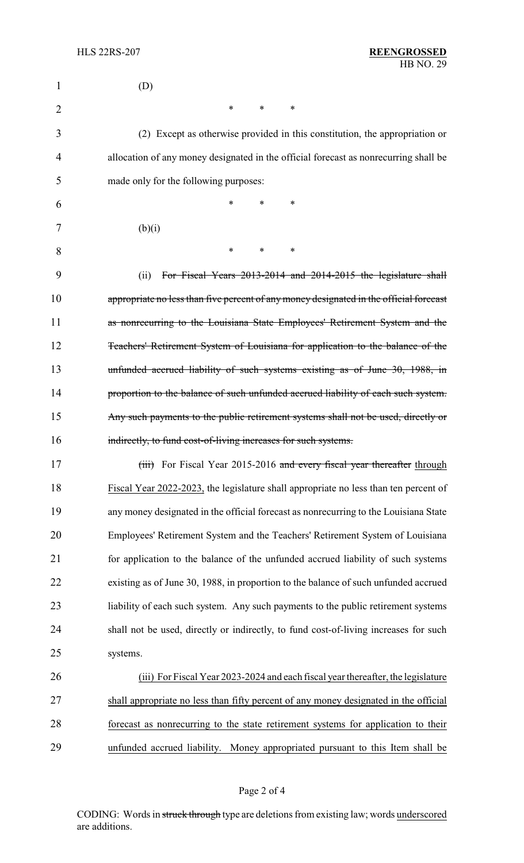| 1  | (D)                                                                                    |
|----|----------------------------------------------------------------------------------------|
| 2  | $\ast$<br>∗<br>∗                                                                       |
| 3  | (2) Except as otherwise provided in this constitution, the appropriation or            |
| 4  | allocation of any money designated in the official forecast as nonrecurring shall be   |
| 5  | made only for the following purposes:                                                  |
| 6  | *<br>∗<br>*                                                                            |
| 7  | (b)(i)                                                                                 |
| 8  | *<br>*<br>∗                                                                            |
| 9  | For Fiscal Years 2013-2014 and 2014-2015 the legislature shall<br>(ii)                 |
| 10 | appropriate no less than five percent of any money designated in the official forecast |
| 11 | as nonrecurring to the Louisiana State Employees' Retirement System and the            |
| 12 | Teachers' Retirement System of Louisiana for application to the balance of the         |
| 13 | unfunded accrued liability of such systems existing as of June 30, 1988, in            |
| 14 | proportion to the balance of such unfunded accrued liability of each such system.      |
| 15 | Any such payments to the public retirement systems shall not be used, directly or      |
| 16 | indirectly, to fund cost-of-living increases for such systems.                         |
| 17 | (iii) For Fiscal Year 2015-2016 and every fiscal year thereafter through               |
| 18 | Fiscal Year 2022-2023, the legislature shall appropriate no less than ten percent of   |
| 19 | any money designated in the official forecast as nonrecurring to the Louisiana State   |
| 20 | Employees' Retirement System and the Teachers' Retirement System of Louisiana          |
| 21 | for application to the balance of the unfunded accrued liability of such systems       |
| 22 | existing as of June 30, 1988, in proportion to the balance of such unfunded accrued    |
| 23 | liability of each such system. Any such payments to the public retirement systems      |
| 24 | shall not be used, directly or indirectly, to fund cost-of-living increases for such   |
| 25 | systems.                                                                               |
| 26 | (iii) For Fiscal Year 2023-2024 and each fiscal year thereafter, the legislature       |
| 27 | shall appropriate no less than fifty percent of any money designated in the official   |
| 28 | forecast as nonrecurring to the state retirement systems for application to their      |
| 29 | unfunded accrued liability. Money appropriated pursuant to this Item shall be          |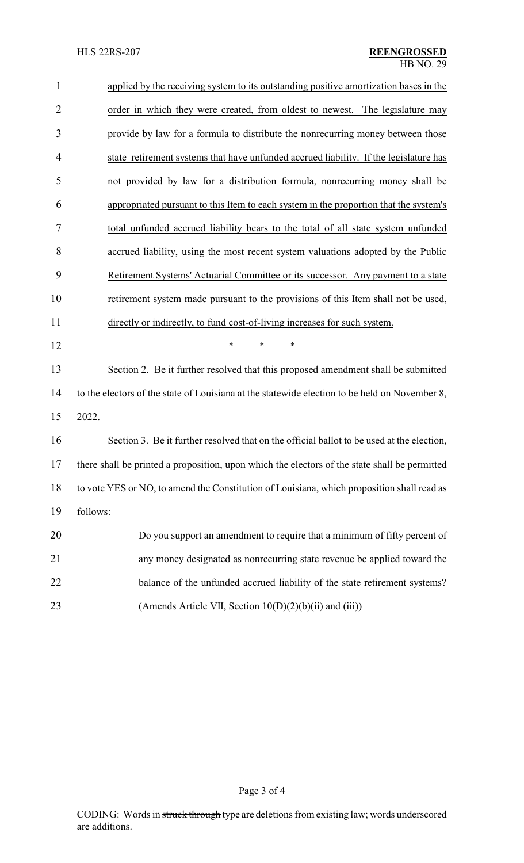| $\mathbf{1}$ | applied by the receiving system to its outstanding positive amortization bases in the         |  |  |
|--------------|-----------------------------------------------------------------------------------------------|--|--|
| 2            | order in which they were created, from oldest to newest. The legislature may                  |  |  |
| 3            | provide by law for a formula to distribute the nonrecurring money between those               |  |  |
| 4            | state retirement systems that have unfunded accrued liability. If the legislature has         |  |  |
| 5            | not provided by law for a distribution formula, nonrecurring money shall be                   |  |  |
| 6            | appropriated pursuant to this Item to each system in the proportion that the system's         |  |  |
| 7            | total unfunded accrued liability bears to the total of all state system unfunded              |  |  |
| 8            | accrued liability, using the most recent system valuations adopted by the Public              |  |  |
| 9            | Retirement Systems' Actuarial Committee or its successor. Any payment to a state              |  |  |
| 10           | retirement system made pursuant to the provisions of this Item shall not be used,             |  |  |
| 11           | directly or indirectly, to fund cost-of-living increases for such system.                     |  |  |
| 12           | *<br>$\ast$<br>$\ast$                                                                         |  |  |
| 13           | Section 2. Be it further resolved that this proposed amendment shall be submitted             |  |  |
| 14           | to the electors of the state of Louisiana at the statewide election to be held on November 8, |  |  |
| 15           | 2022.                                                                                         |  |  |
| 16           | Section 3. Be it further resolved that on the official ballot to be used at the election,     |  |  |
| 17           | there shall be printed a proposition, upon which the electors of the state shall be permitted |  |  |
| 18           | to vote YES or NO, to amend the Constitution of Louisiana, which proposition shall read as    |  |  |
| 19           | follows:                                                                                      |  |  |
| 20           | Do you support an amendment to require that a minimum of fifty percent of                     |  |  |
| 21           | any money designated as nonrecurring state revenue be applied toward the                      |  |  |
| 22           | balance of the unfunded accrued liability of the state retirement systems?                    |  |  |
| 23           | (Amends Article VII, Section $10(D)(2)(b)(ii)$ and $(iii)$ )                                  |  |  |